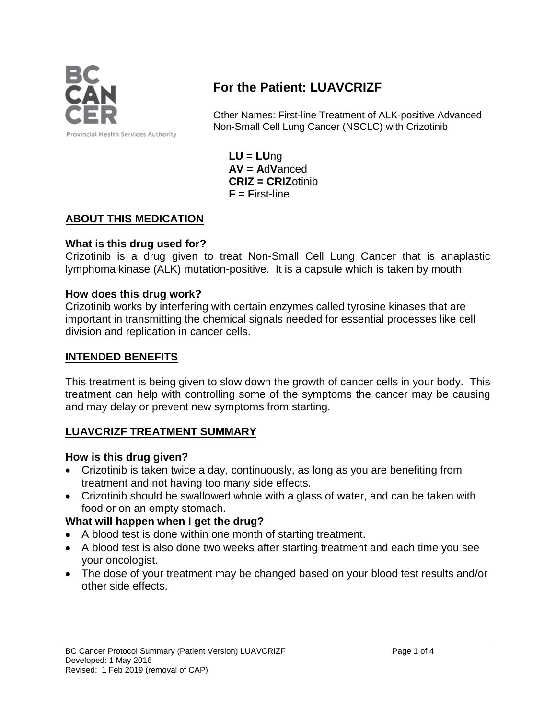

# **For the Patient: LUAVCRIZF**

Other Names: First-line Treatment of ALK-positive Advanced Non-Small Cell Lung Cancer (NSCLC) with Crizotinib

**LU = LU**ng **AV = A**d**V**anced **CRIZ = CRIZ**otinib **F = F**irst-line

## **ABOUT THIS MEDICATION**

## **What is this drug used for?**

Crizotinib is a drug given to treat Non-Small Cell Lung Cancer that is anaplastic lymphoma kinase (ALK) mutation-positive. It is a capsule which is taken by mouth.

## **How does this drug work?**

Crizotinib works by interfering with certain enzymes called tyrosine kinases that are important in transmitting the chemical signals needed for essential processes like cell division and replication in cancer cells.

### **INTENDED BENEFITS**

This treatment is being given to slow down the growth of cancer cells in your body. This treatment can help with controlling some of the symptoms the cancer may be causing and may delay or prevent new symptoms from starting.

## **LUAVCRIZF TREATMENT SUMMARY**

#### **How is this drug given?**

- Crizotinib is taken twice a day, continuously, as long as you are benefiting from treatment and not having too many side effects.
- Crizotinib should be swallowed whole with a glass of water, and can be taken with food or on an empty stomach.

## **What will happen when I get the drug?**

- A blood test is done within one month of starting treatment.
- A blood test is also done two weeks after starting treatment and each time you see your oncologist.
- The dose of your treatment may be changed based on your blood test results and/or other side effects.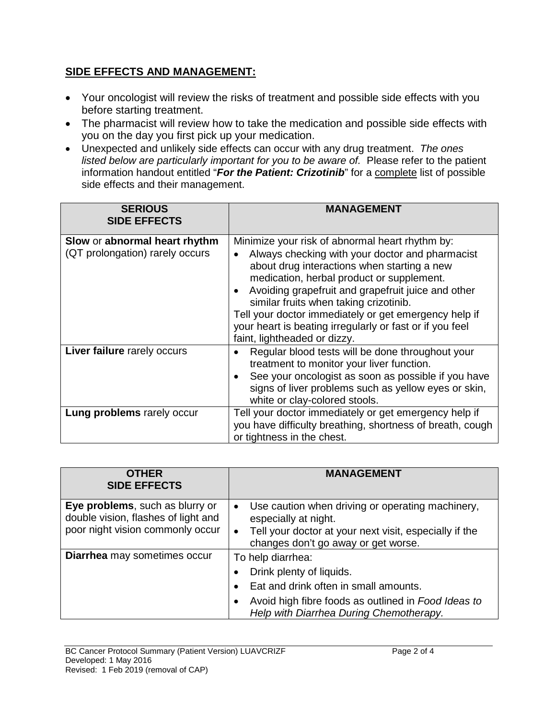## **SIDE EFFECTS AND MANAGEMENT:**

- Your oncologist will review the risks of treatment and possible side effects with you before starting treatment.
- The pharmacist will review how to take the medication and possible side effects with you on the day you first pick up your medication.
- Unexpected and unlikely side effects can occur with any drug treatment. *The ones listed below are particularly important for you to be aware of.* Please refer to the patient information handout entitled "*For the Patient: Crizotinib*" for a complete list of possible side effects and their management.

| <b>SERIOUS</b><br><b>SIDE EFFECTS</b>                            | <b>MANAGEMENT</b>                                                                                                                                                                                                                                                                                                                                                                                                                                   |
|------------------------------------------------------------------|-----------------------------------------------------------------------------------------------------------------------------------------------------------------------------------------------------------------------------------------------------------------------------------------------------------------------------------------------------------------------------------------------------------------------------------------------------|
| Slow or abnormal heart rhythm<br>(QT prolongation) rarely occurs | Minimize your risk of abnormal heart rhythm by:<br>Always checking with your doctor and pharmacist<br>about drug interactions when starting a new<br>medication, herbal product or supplement.<br>Avoiding grapefruit and grapefruit juice and other<br>similar fruits when taking crizotinib.<br>Tell your doctor immediately or get emergency help if<br>your heart is beating irregularly or fast or if you feel<br>faint, lightheaded or dizzy. |
| Liver failure rarely occurs                                      | Regular blood tests will be done throughout your<br>treatment to monitor your liver function.<br>See your oncologist as soon as possible if you have<br>signs of liver problems such as yellow eyes or skin,<br>white or clay-colored stools.                                                                                                                                                                                                       |
| Lung problems rarely occur                                       | Tell your doctor immediately or get emergency help if<br>you have difficulty breathing, shortness of breath, cough<br>or tightness in the chest.                                                                                                                                                                                                                                                                                                    |

| <b>OTHER</b><br><b>SIDE EFFECTS</b>                                                                        | <b>MANAGEMENT</b>                                                                                                                                                                        |
|------------------------------------------------------------------------------------------------------------|------------------------------------------------------------------------------------------------------------------------------------------------------------------------------------------|
| Eye problems, such as blurry or<br>double vision, flashes of light and<br>poor night vision commonly occur | Use caution when driving or operating machinery,<br>$\bullet$<br>especially at night.<br>Tell your doctor at your next visit, especially if the<br>changes don't go away or get worse.   |
| Diarrhea may sometimes occur                                                                               | To help diarrhea:<br>Drink plenty of liquids.<br>Eat and drink often in small amounts.<br>Avoid high fibre foods as outlined in Food Ideas to<br>Help with Diarrhea During Chemotherapy. |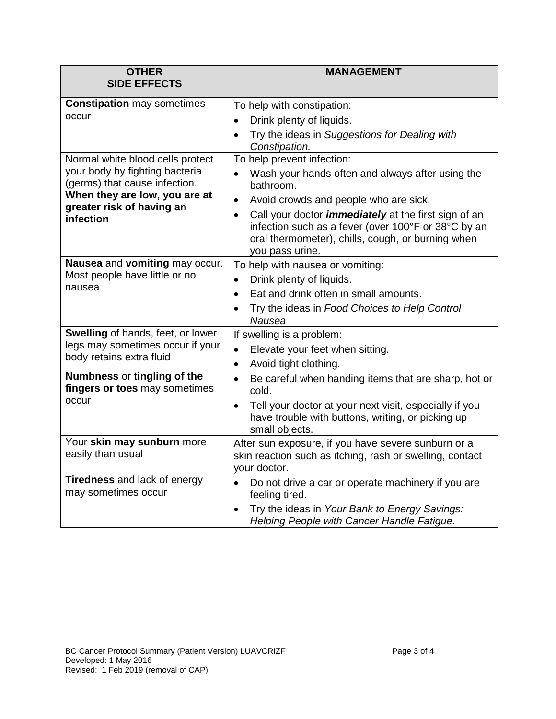| <b>OTHER</b>                                                                                                                                                                   | <b>MANAGEMENT</b>                                                                                                                                                                                       |
|--------------------------------------------------------------------------------------------------------------------------------------------------------------------------------|---------------------------------------------------------------------------------------------------------------------------------------------------------------------------------------------------------|
| <b>SIDE EFFECTS</b>                                                                                                                                                            |                                                                                                                                                                                                         |
| <b>Constipation may sometimes</b><br>occur                                                                                                                                     | To help with constipation:                                                                                                                                                                              |
|                                                                                                                                                                                | Drink plenty of liquids.                                                                                                                                                                                |
|                                                                                                                                                                                | Try the ideas in Suggestions for Dealing with<br>$\bullet$<br>Constipation.                                                                                                                             |
| Normal white blood cells protect<br>your body by fighting bacteria<br>(germs) that cause infection.<br>When they are low, you are at<br>greater risk of having an<br>infection | To help prevent infection:                                                                                                                                                                              |
|                                                                                                                                                                                | Wash your hands often and always after using the<br>bathroom.                                                                                                                                           |
|                                                                                                                                                                                | Avoid crowds and people who are sick.<br>$\bullet$                                                                                                                                                      |
|                                                                                                                                                                                | Call your doctor <i>immediately</i> at the first sign of an<br>$\bullet$<br>infection such as a fever (over 100°F or 38°C by an<br>oral thermometer), chills, cough, or burning when<br>you pass urine. |
| Nausea and vomiting may occur.<br>Most people have little or no<br>nausea                                                                                                      | To help with nausea or vomiting:                                                                                                                                                                        |
|                                                                                                                                                                                | Drink plenty of liquids.<br>$\bullet$                                                                                                                                                                   |
|                                                                                                                                                                                | Eat and drink often in small amounts.<br>$\bullet$                                                                                                                                                      |
|                                                                                                                                                                                | Try the ideas in Food Choices to Help Control<br>$\bullet$<br>Nausea                                                                                                                                    |
| Swelling of hands, feet, or lower<br>legs may sometimes occur if your<br>body retains extra fluid                                                                              | If swelling is a problem:                                                                                                                                                                               |
|                                                                                                                                                                                | Elevate your feet when sitting.<br>$\bullet$                                                                                                                                                            |
|                                                                                                                                                                                | Avoid tight clothing.<br>$\bullet$                                                                                                                                                                      |
| Numbness or tingling of the<br>fingers or toes may sometimes<br>occur                                                                                                          | Be careful when handing items that are sharp, hot or<br>$\bullet$<br>cold.                                                                                                                              |
|                                                                                                                                                                                | Tell your doctor at your next visit, especially if you<br>$\bullet$<br>have trouble with buttons, writing, or picking up<br>small objects.                                                              |
| Your skin may sunburn more<br>easily than usual                                                                                                                                | After sun exposure, if you have severe sunburn or a<br>skin reaction such as itching, rash or swelling, contact                                                                                         |
|                                                                                                                                                                                | your doctor.                                                                                                                                                                                            |
| <b>Tiredness and lack of energy</b><br>may sometimes occur                                                                                                                     | Do not drive a car or operate machinery if you are<br>$\bullet$<br>feeling tired.                                                                                                                       |
|                                                                                                                                                                                | Try the ideas in Your Bank to Energy Savings:<br>Helping People with Cancer Handle Fatigue.                                                                                                             |